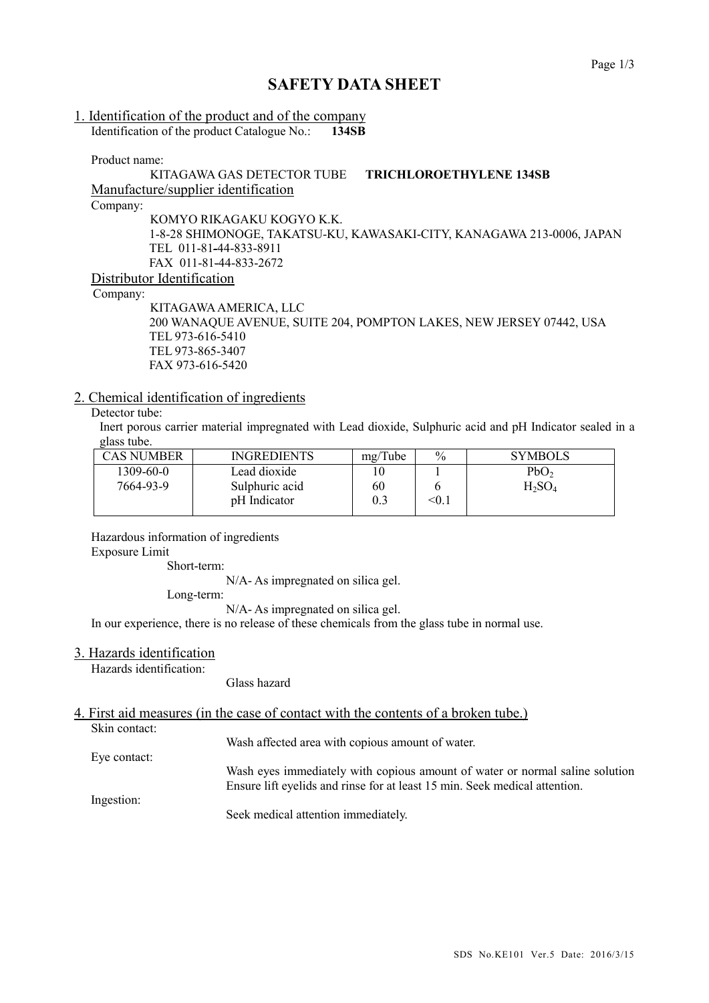## **SAFETY DATA SHEET**

#### 1. Identification of the product and of the company Identification of the product Catalogue No.: **134SB**

Product name:

#### KITAGAWA GAS DETECTOR TUBE **TRICHLOROETHYLENE 134SB** Manufacture/supplier identification Company: KOMYO RIKAGAKU KOGYO K.K. 1-8-28 SHIMONOGE, TAKATSU-KU, KAWASAKI-CITY, KANAGAWA 213-0006, JAPAN TEL 011-81-44-833-8911 FAX 011-81-44-833-2672

#### Distributor Identification

Company:

KITAGAWAAMERICA, LLC 200 WANAQUE AVENUE, SUITE 204, POMPTON LAKES, NEW JERSEY 07442, USA TEL 973-616-5410 TEL 973-865-3407 FAX 973-616-5420

#### 2. Chemical identification of ingredients

### Detector tube:

Inert porous carrier material impregnated with Lead dioxide, Sulphuric acid and pH Indicator sealed in a glass tube.

| CAS NUMBER | <b>INGREDIENTS</b> | mg/Tube | $\frac{0}{0}$ | <b>SYMBOLS</b>   |
|------------|--------------------|---------|---------------|------------------|
| 1309-60-0  | Lead dioxide       |         |               | PbO <sub>2</sub> |
| 7664-93-9  | Sulphuric acid     | 60      |               | $H_2SO_4$        |
|            | pH Indicator       | 0.3     | $<$ 0.1       |                  |
|            |                    |         |               |                  |

Hazardous information of ingredients Exposure Limit

Short-term:

N/A- As impregnated on silica gel.

Long-term:

N/A- As impregnated on silica gel.

In our experience, there is no release of these chemicals from the glass tube in normal use.

#### 3. Hazards identification

Hazards identification:

Glass hazard

### 4. First aid measures (in the case of contact with the contents of a broken tube.)

Skin contact:

Wash affected area with copious amount of water.

Eye contact:

Wash eyes immediately with copious amount of water or normal saline solution Ensure lift eyelids and rinse for at least 15 min. Seek medical attention.

Ingestion:

Seek medical attention immediately.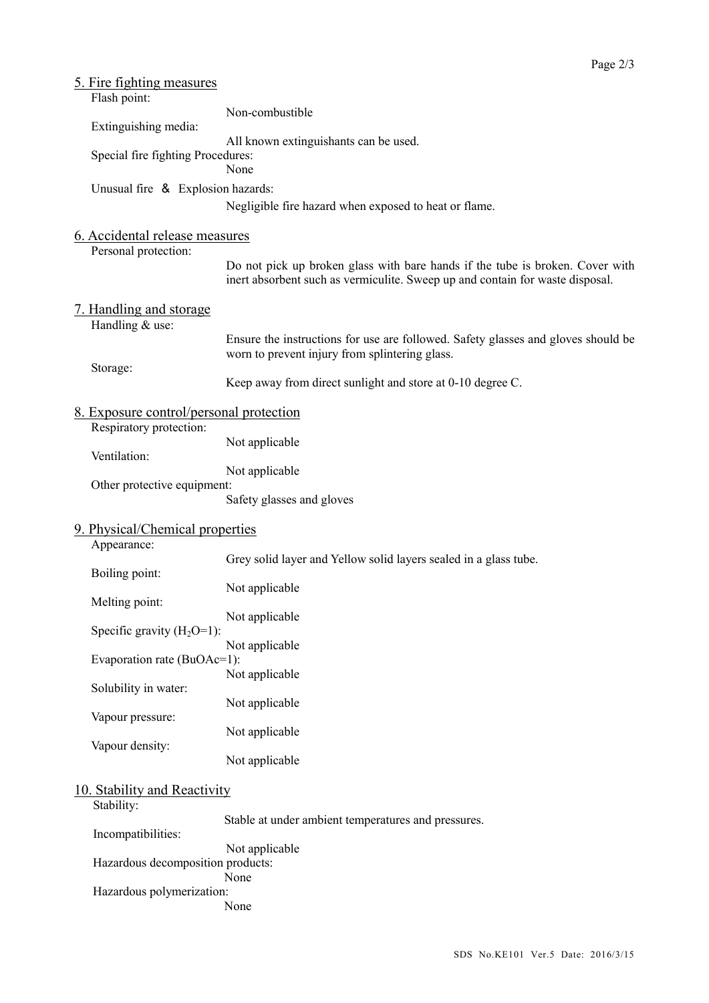| 5. Fire fighting measures<br>Flash point:              |                                                                                                                                                                |  |
|--------------------------------------------------------|----------------------------------------------------------------------------------------------------------------------------------------------------------------|--|
| Extinguishing media:                                   | Non-combustible                                                                                                                                                |  |
| Special fire fighting Procedures:                      | All known extinguishants can be used.<br>None                                                                                                                  |  |
| Unusual fire & Explosion hazards:                      |                                                                                                                                                                |  |
|                                                        | Negligible fire hazard when exposed to heat or flame.                                                                                                          |  |
| 6. Accidental release measures<br>Personal protection: |                                                                                                                                                                |  |
|                                                        | Do not pick up broken glass with bare hands if the tube is broken. Cover with<br>inert absorbent such as vermiculite. Sweep up and contain for waste disposal. |  |
| <u>7. Handling and storage</u><br>Handling & use:      |                                                                                                                                                                |  |
|                                                        | Ensure the instructions for use are followed. Safety glasses and gloves should be<br>worn to prevent injury from splintering glass.                            |  |
| Storage:                                               | Keep away from direct sunlight and store at 0-10 degree C.                                                                                                     |  |
| <u>8. Exposure control/personal protection</u>         |                                                                                                                                                                |  |
| Respiratory protection:<br>Ventilation:                | Not applicable                                                                                                                                                 |  |
|                                                        | Not applicable                                                                                                                                                 |  |
| Other protective equipment:                            | Safety glasses and gloves                                                                                                                                      |  |
| 9. Physical/Chemical properties                        |                                                                                                                                                                |  |
| Appearance:                                            | Grey solid layer and Yellow solid layers sealed in a glass tube.                                                                                               |  |
| Boiling point:<br>Melting point:                       | Not applicable                                                                                                                                                 |  |
| Specific gravity $(H_2O=1)$ :                          | Not applicable                                                                                                                                                 |  |
|                                                        | Not applicable                                                                                                                                                 |  |
| Evaporation rate (BuOAc=1):                            | Not applicable                                                                                                                                                 |  |
| Solubility in water:                                   | Not applicable                                                                                                                                                 |  |
| Vapour pressure:                                       | Not applicable                                                                                                                                                 |  |
| Vapour density:                                        | Not applicable                                                                                                                                                 |  |
| 10. Stability and Reactivity<br>Stability:             |                                                                                                                                                                |  |
| Incompatibilities:                                     | Stable at under ambient temperatures and pressures.                                                                                                            |  |
| Hazardous decomposition products:                      | Not applicable<br>None                                                                                                                                         |  |
| Hazardous polymerization:                              | None                                                                                                                                                           |  |